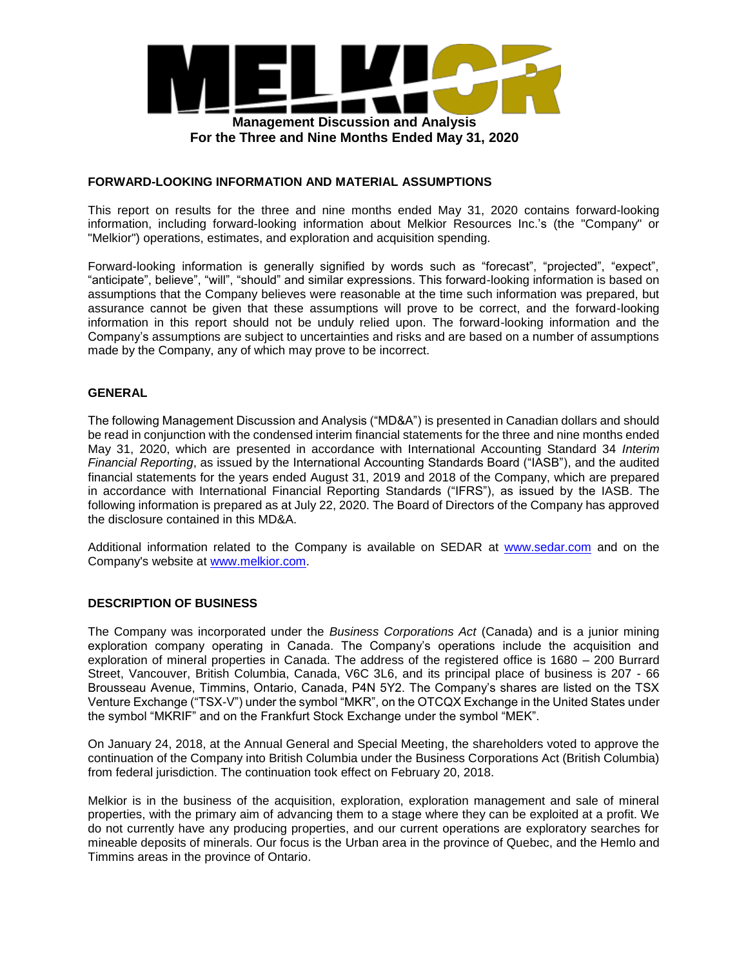

### **FORWARD-LOOKING INFORMATION AND MATERIAL ASSUMPTIONS**

This report on results for the three and nine months ended May 31, 2020 contains forward-looking information, including forward-looking information about Melkior Resources Inc.'s (the "Company" or "Melkior") operations, estimates, and exploration and acquisition spending.

Forward-looking information is generally signified by words such as "forecast", "projected", "expect", "anticipate", believe", "will", "should" and similar expressions. This forward-looking information is based on assumptions that the Company believes were reasonable at the time such information was prepared, but assurance cannot be given that these assumptions will prove to be correct, and the forward-looking information in this report should not be unduly relied upon. The forward-looking information and the Company's assumptions are subject to uncertainties and risks and are based on a number of assumptions made by the Company, any of which may prove to be incorrect.

## **GENERAL**

The following Management Discussion and Analysis ("MD&A") is presented in Canadian dollars and should be read in conjunction with the condensed interim financial statements for the three and nine months ended May 31, 2020, which are presented in accordance with International Accounting Standard 34 *Interim Financial Reporting*, as issued by the International Accounting Standards Board ("IASB"), and the audited financial statements for the years ended August 31, 2019 and 2018 of the Company, which are prepared in accordance with International Financial Reporting Standards ("IFRS"), as issued by the IASB. The following information is prepared as at July 22, 2020. The Board of Directors of the Company has approved the disclosure contained in this MD&A.

Additional information related to the Company is available on SEDAR at www.sedar.com and on the Company's website at www.melkior.com.

### **DESCRIPTION OF BUSINESS**

The Company was incorporated under the *Business Corporations Act* (Canada) and is a junior mining exploration company operating in Canada. The Company's operations include the acquisition and exploration of mineral properties in Canada. The address of the registered office is 1680 – 200 Burrard Street, Vancouver, British Columbia, Canada, V6C 3L6, and its principal place of business is 207 - 66 Brousseau Avenue, Timmins, Ontario, Canada, P4N 5Y2. The Company's shares are listed on the TSX Venture Exchange ("TSX-V") under the symbol "MKR", on the OTCQX Exchange in the United States under the symbol "MKRIF" and on the Frankfurt Stock Exchange under the symbol "MEK".

On January 24, 2018, at the Annual General and Special Meeting, the shareholders voted to approve the continuation of the Company into British Columbia under the Business Corporations Act (British Columbia) from federal jurisdiction. The continuation took effect on February 20, 2018.

Melkior is in the business of the acquisition, exploration, exploration management and sale of mineral properties, with the primary aim of advancing them to a stage where they can be exploited at a profit. We do not currently have any producing properties, and our current operations are exploratory searches for mineable deposits of minerals. Our focus is the Urban area in the province of Quebec, and the Hemlo and Timmins areas in the province of Ontario.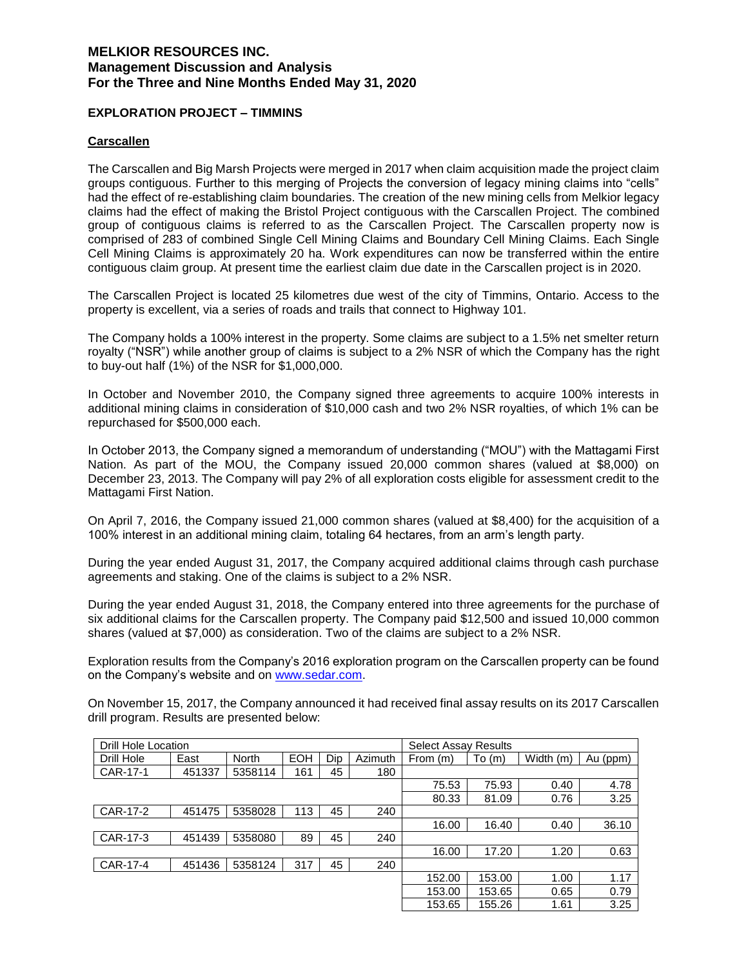### **EXPLORATION PROJECT – TIMMINS**

### **Carscallen**

The Carscallen and Big Marsh Projects were merged in 2017 when claim acquisition made the project claim groups contiguous. Further to this merging of Projects the conversion of legacy mining claims into "cells" had the effect of re-establishing claim boundaries. The creation of the new mining cells from Melkior legacy claims had the effect of making the Bristol Project contiguous with the Carscallen Project. The combined group of contiguous claims is referred to as the Carscallen Project. The Carscallen property now is comprised of 283 of combined Single Cell Mining Claims and Boundary Cell Mining Claims. Each Single Cell Mining Claims is approximately 20 ha. Work expenditures can now be transferred within the entire contiguous claim group. At present time the earliest claim due date in the Carscallen project is in 2020.

The Carscallen Project is located 25 kilometres due west of the city of Timmins, Ontario. Access to the property is excellent, via a series of roads and trails that connect to Highway 101.

The Company holds a 100% interest in the property. Some claims are subject to a 1.5% net smelter return royalty ("NSR") while another group of claims is subject to a 2% NSR of which the Company has the right to buy-out half (1%) of the NSR for \$1,000,000.

In October and November 2010, the Company signed three agreements to acquire 100% interests in additional mining claims in consideration of \$10,000 cash and two 2% NSR royalties, of which 1% can be repurchased for \$500,000 each.

In October 2013, the Company signed a memorandum of understanding ("MOU") with the Mattagami First Nation. As part of the MOU, the Company issued 20,000 common shares (valued at \$8,000) on December 23, 2013. The Company will pay 2% of all exploration costs eligible for assessment credit to the Mattagami First Nation.

On April 7, 2016, the Company issued 21,000 common shares (valued at \$8,400) for the acquisition of a 100% interest in an additional mining claim, totaling 64 hectares, from an arm's length party.

During the year ended August 31, 2017, the Company acquired additional claims through cash purchase agreements and staking. One of the claims is subject to a 2% NSR.

During the year ended August 31, 2018, the Company entered into three agreements for the purchase of six additional claims for the Carscallen property. The Company paid \$12,500 and issued 10,000 common shares (valued at \$7,000) as consideration. Two of the claims are subject to a 2% NSR.

Exploration results from the Company's 2016 exploration program on the Carscallen property can be found on the Company's website and on www.sedar.com.

On November 15, 2017, the Company announced it had received final assay results on its 2017 Carscallen drill program. Results are presented below:

| Drill Hole Location |        |              |            |     |         | <b>Select Assay Results</b> |        |           |          |
|---------------------|--------|--------------|------------|-----|---------|-----------------------------|--------|-----------|----------|
| Drill Hole          | East   | <b>North</b> | <b>EOH</b> | Dip | Azimuth | From (m)                    | To(m)  | Width (m) | Au (ppm) |
| CAR-17-1            | 451337 | 5358114      | 161        | 45  | 180     |                             |        |           |          |
|                     |        |              |            |     |         | 75.53                       | 75.93  | 0.40      | 4.78     |
|                     |        |              |            |     |         | 80.33                       | 81.09  | 0.76      | 3.25     |
| CAR-17-2            | 451475 | 5358028      | 113        | 45  | 240     |                             |        |           |          |
|                     |        |              |            |     |         | 16.00                       | 16.40  | 0.40      | 36.10    |
| CAR-17-3            | 451439 | 5358080      | 89         | 45  | 240     |                             |        |           |          |
|                     |        |              |            |     |         | 16.00                       | 17.20  | 1.20      | 0.63     |
| CAR-17-4            | 451436 | 5358124      | 317        | 45  | 240     |                             |        |           |          |
|                     |        |              |            |     |         | 152.00                      | 153.00 | 1.00      | 1.17     |
|                     |        |              |            |     |         | 153.00                      | 153.65 | 0.65      | 0.79     |
|                     |        |              |            |     |         | 153.65                      | 155.26 | 1.61      | 3.25     |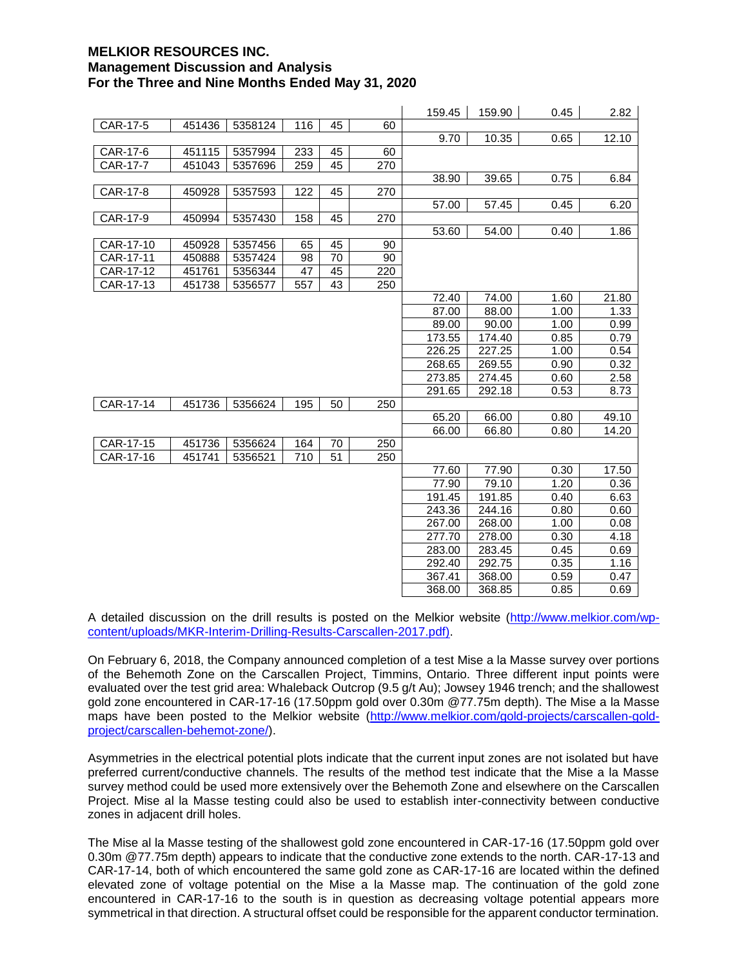|           |        |         |     |    |     | 159.45 | 159.90 | 0.45 | 2.82  |
|-----------|--------|---------|-----|----|-----|--------|--------|------|-------|
| CAR-17-5  | 451436 | 5358124 | 116 | 45 | 60  |        |        |      |       |
|           |        |         |     |    |     | 9.70   | 10.35  | 0.65 | 12.10 |
| CAR-17-6  | 451115 | 5357994 | 233 | 45 | 60  |        |        |      |       |
| CAR-17-7  | 451043 | 5357696 | 259 | 45 | 270 |        |        |      |       |
|           |        |         |     |    |     | 38.90  | 39.65  | 0.75 | 6.84  |
| CAR-17-8  | 450928 | 5357593 | 122 | 45 | 270 |        |        |      |       |
|           |        |         |     |    |     | 57.00  | 57.45  | 0.45 | 6.20  |
| CAR-17-9  | 450994 | 5357430 | 158 | 45 | 270 |        |        |      |       |
|           |        |         |     |    |     | 53.60  | 54.00  | 0.40 | 1.86  |
| CAR-17-10 | 450928 | 5357456 | 65  | 45 | 90  |        |        |      |       |
| CAR-17-11 | 450888 | 5357424 | 98  | 70 | 90  |        |        |      |       |
| CAR-17-12 | 451761 | 5356344 | 47  | 45 | 220 |        |        |      |       |
| CAR-17-13 | 451738 | 5356577 | 557 | 43 | 250 |        |        |      |       |
|           |        |         |     |    |     | 72.40  | 74.00  | 1.60 | 21.80 |
|           |        |         |     |    |     | 87.00  | 88.00  | 1.00 | 1.33  |
|           |        |         |     |    |     | 89.00  | 90.00  | 1.00 | 0.99  |
|           |        |         |     |    |     | 173.55 | 174.40 | 0.85 | 0.79  |
|           |        |         |     |    |     | 226.25 | 227.25 | 1.00 | 0.54  |
|           |        |         |     |    |     | 268.65 | 269.55 | 0.90 | 0.32  |
|           |        |         |     |    |     | 273.85 | 274.45 | 0.60 | 2.58  |
|           |        |         |     |    |     | 291.65 | 292.18 | 0.53 | 8.73  |
| CAR-17-14 | 451736 | 5356624 | 195 | 50 | 250 |        |        |      |       |
|           |        |         |     |    |     | 65.20  | 66.00  | 0.80 | 49.10 |
|           |        |         |     |    |     | 66.00  | 66.80  | 0.80 | 14.20 |
| CAR-17-15 | 451736 | 5356624 | 164 | 70 | 250 |        |        |      |       |
| CAR-17-16 | 451741 | 5356521 | 710 | 51 | 250 |        |        |      |       |
|           |        |         |     |    |     | 77.60  | 77.90  | 0.30 | 17.50 |
|           |        |         |     |    |     | 77.90  | 79.10  | 1.20 | 0.36  |
|           |        |         |     |    |     | 191.45 | 191.85 | 0.40 | 6.63  |
|           |        |         |     |    |     | 243.36 | 244.16 | 0.80 | 0.60  |
|           |        |         |     |    |     | 267.00 | 268.00 | 1.00 | 0.08  |
|           |        |         |     |    |     | 277.70 | 278.00 | 0.30 | 4.18  |
|           |        |         |     |    |     | 283.00 | 283.45 | 0.45 | 0.69  |
|           |        |         |     |    |     | 292.40 | 292.75 | 0.35 | 1.16  |
|           |        |         |     |    |     | 367.41 | 368.00 | 0.59 | 0.47  |
|           |        |         |     |    |     | 368.00 | 368.85 | 0.85 | 0.69  |

A detailed discussion on the drill results is posted on the Melkior website (http://www.melkior.com/wpcontent/uploads/MKR-Interim-Drilling-Results-Carscallen-2017.pdf).

On February 6, 2018, the Company announced completion of a test Mise a la Masse survey over portions of the Behemoth Zone on the Carscallen Project, Timmins, Ontario. Three different input points were evaluated over the test grid area: Whaleback Outcrop (9.5 g/t Au); Jowsey 1946 trench; and the shallowest gold zone encountered in CAR-17-16 (17.50ppm gold over 0.30m @77.75m depth). The Mise a la Masse maps have been posted to the Melkior website (http://www.melkior.com/gold-projects/carscallen-goldproject/carscallen-behemot-zone/).

Asymmetries in the electrical potential plots indicate that the current input zones are not isolated but have preferred current/conductive channels. The results of the method test indicate that the Mise a la Masse survey method could be used more extensively over the Behemoth Zone and elsewhere on the Carscallen Project. Mise al la Masse testing could also be used to establish inter-connectivity between conductive zones in adjacent drill holes.

The Mise al la Masse testing of the shallowest gold zone encountered in CAR-17-16 (17.50ppm gold over 0.30m @77.75m depth) appears to indicate that the conductive zone extends to the north. CAR-17-13 and CAR-17-14, both of which encountered the same gold zone as CAR-17-16 are located within the defined elevated zone of voltage potential on the Mise a la Masse map. The continuation of the gold zone encountered in CAR-17-16 to the south is in question as decreasing voltage potential appears more symmetrical in that direction. A structural offset could be responsible for the apparent conductor termination.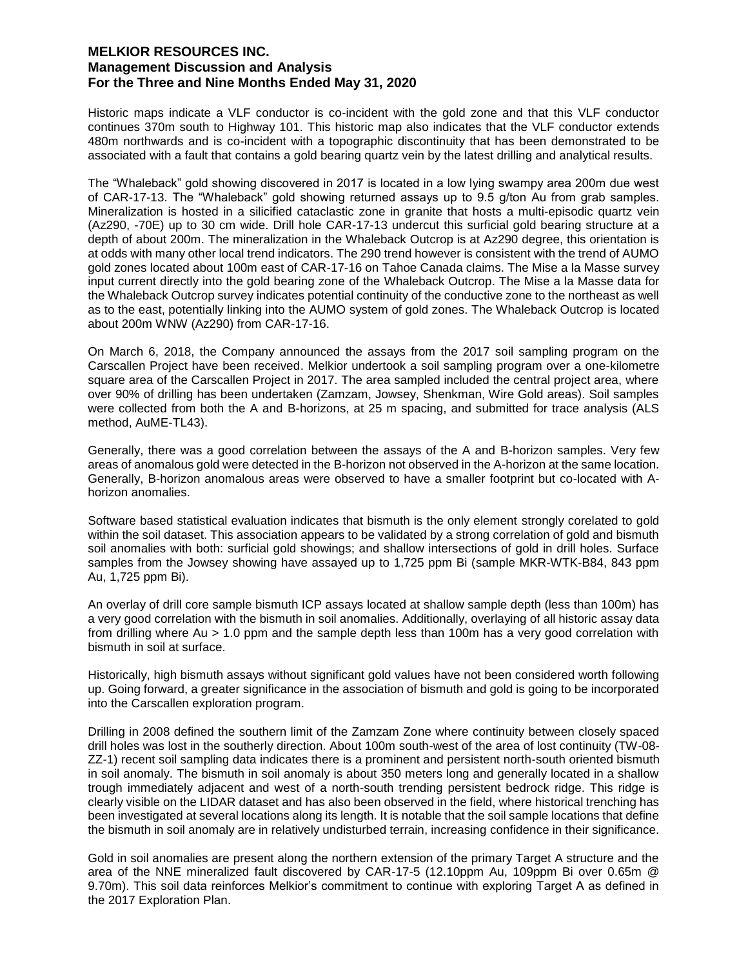Historic maps indicate a VLF conductor is co-incident with the gold zone and that this VLF conductor continues 370m south to Highway 101. This historic map also indicates that the VLF conductor extends 480m northwards and is co-incident with a topographic discontinuity that has been demonstrated to be associated with a fault that contains a gold bearing quartz vein by the latest drilling and analytical results.

The "Whaleback" gold showing discovered in 2017 is located in a low lying swampy area 200m due west of CAR-17-13. The "Whaleback" gold showing returned assays up to 9.5 g/ton Au from grab samples. Mineralization is hosted in a silicified cataclastic zone in granite that hosts a multi-episodic quartz vein (Az290, -70E) up to 30 cm wide. Drill hole CAR-17-13 undercut this surficial gold bearing structure at a depth of about 200m. The mineralization in the Whaleback Outcrop is at Az290 degree, this orientation is at odds with many other local trend indicators. The 290 trend however is consistent with the trend of AUMO gold zones located about 100m east of CAR-17-16 on Tahoe Canada claims. The Mise a la Masse survey input current directly into the gold bearing zone of the Whaleback Outcrop. The Mise a la Masse data for the Whaleback Outcrop survey indicates potential continuity of the conductive zone to the northeast as well as to the east, potentially linking into the AUMO system of gold zones. The Whaleback Outcrop is located about 200m WNW (Az290) from CAR-17-16.

On March 6, 2018, the Company announced the assays from the 2017 soil sampling program on the Carscallen Project have been received. Melkior undertook a soil sampling program over a one-kilometre square area of the Carscallen Project in 2017. The area sampled included the central project area, where over 90% of drilling has been undertaken (Zamzam, Jowsey, Shenkman, Wire Gold areas). Soil samples were collected from both the A and B-horizons, at 25 m spacing, and submitted for trace analysis (ALS method, AuME-TL43).

Generally, there was a good correlation between the assays of the A and B-horizon samples. Very few areas of anomalous gold were detected in the B-horizon not observed in the A-horizon at the same location. Generally, B-horizon anomalous areas were observed to have a smaller footprint but co-located with Ahorizon anomalies.

Software based statistical evaluation indicates that bismuth is the only element strongly corelated to gold within the soil dataset. This association appears to be validated by a strong correlation of gold and bismuth soil anomalies with both: surficial gold showings; and shallow intersections of gold in drill holes. Surface samples from the Jowsey showing have assayed up to 1,725 ppm Bi (sample MKR-WTK-B84, 843 ppm Au, 1,725 ppm Bi).

An overlay of drill core sample bismuth ICP assays located at shallow sample depth (less than 100m) has a very good correlation with the bismuth in soil anomalies. Additionally, overlaying of all historic assay data from drilling where Au > 1.0 ppm and the sample depth less than 100m has a very good correlation with bismuth in soil at surface.

Historically, high bismuth assays without significant gold values have not been considered worth following up. Going forward, a greater significance in the association of bismuth and gold is going to be incorporated into the Carscallen exploration program.

Drilling in 2008 defined the southern limit of the Zamzam Zone where continuity between closely spaced drill holes was lost in the southerly direction. About 100m south-west of the area of lost continuity (TW-08- ZZ-1) recent soil sampling data indicates there is a prominent and persistent north-south oriented bismuth in soil anomaly. The bismuth in soil anomaly is about 350 meters long and generally located in a shallow trough immediately adjacent and west of a north-south trending persistent bedrock ridge. This ridge is clearly visible on the LIDAR dataset and has also been observed in the field, where historical trenching has been investigated at several locations along its length. It is notable that the soil sample locations that define the bismuth in soil anomaly are in relatively undisturbed terrain, increasing confidence in their significance.

Gold in soil anomalies are present along the northern extension of the primary Target A structure and the area of the NNE mineralized fault discovered by CAR-17-5 (12.10ppm Au, 109ppm Bi over 0.65m @ 9.70m). This soil data reinforces Melkior's commitment to continue with exploring Target A as defined in the 2017 Exploration Plan.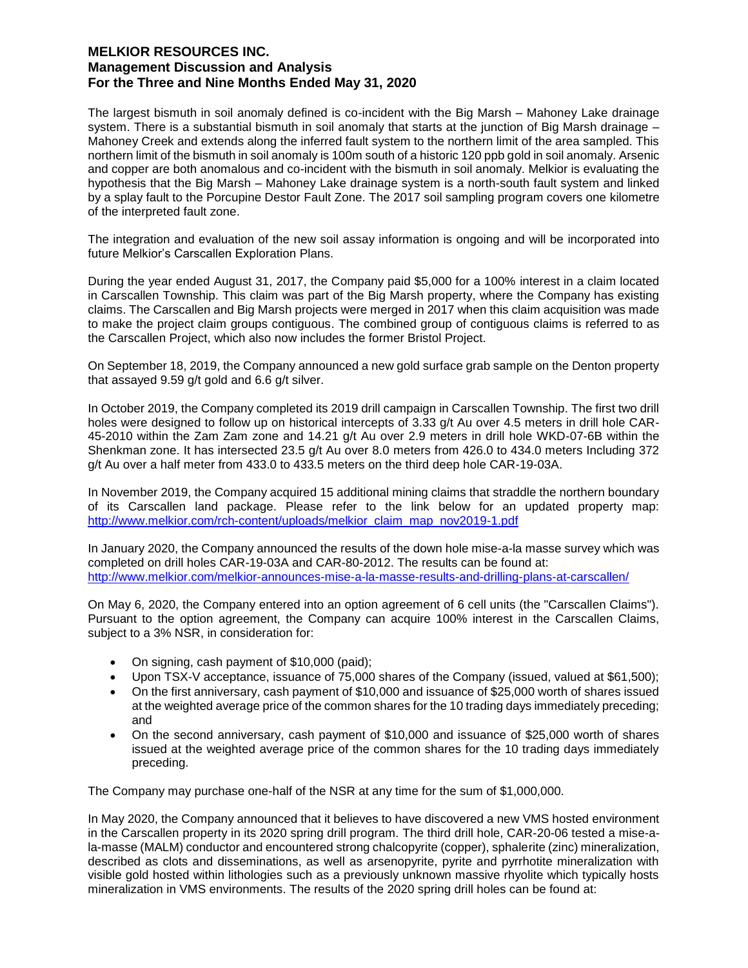The largest bismuth in soil anomaly defined is co-incident with the Big Marsh – Mahoney Lake drainage system. There is a substantial bismuth in soil anomaly that starts at the junction of Big Marsh drainage – Mahoney Creek and extends along the inferred fault system to the northern limit of the area sampled. This northern limit of the bismuth in soil anomaly is 100m south of a historic 120 ppb gold in soil anomaly. Arsenic and copper are both anomalous and co-incident with the bismuth in soil anomaly. Melkior is evaluating the hypothesis that the Big Marsh – Mahoney Lake drainage system is a north-south fault system and linked by a splay fault to the Porcupine Destor Fault Zone. The 2017 soil sampling program covers one kilometre of the interpreted fault zone.

The integration and evaluation of the new soil assay information is ongoing and will be incorporated into future Melkior's Carscallen Exploration Plans.

During the year ended August 31, 2017, the Company paid \$5,000 for a 100% interest in a claim located in Carscallen Township. This claim was part of the Big Marsh property, where the Company has existing claims. The Carscallen and Big Marsh projects were merged in 2017 when this claim acquisition was made to make the project claim groups contiguous. The combined group of contiguous claims is referred to as the Carscallen Project, which also now includes the former Bristol Project.

On September 18, 2019, the Company announced a new gold surface grab sample on the Denton property that assayed 9.59 g/t gold and 6.6 g/t silver.

In October 2019, the Company completed its 2019 drill campaign in Carscallen Township. The first two drill holes were designed to follow up on historical intercepts of 3.33 g/t Au over 4.5 meters in drill hole CAR-45-2010 within the Zam Zam zone and 14.21 g/t Au over 2.9 meters in drill hole WKD-07-6B within the Shenkman zone. It has intersected 23.5 g/t Au over 8.0 meters from 426.0 to 434.0 meters Including 372 g/t Au over a half meter from 433.0 to 433.5 meters on the third deep hole CAR-19-03A.

In November 2019, the Company acquired 15 additional mining claims that straddle the northern boundary of its Carscallen land package. Please refer to the link below for an updated property map: http://www.melkior.com/rch-content/uploads/melkior\_claim\_map\_nov2019-1.pdf

In January 2020, the Company announced the results of the down hole mise-a-la masse survey which was completed on drill holes CAR-19-03A and CAR-80-2012. The results can be found at: http://www.melkior.com/melkior-announces-mise-a-la-masse-results-and-drilling-plans-at-carscallen/

On May 6, 2020, the Company entered into an option agreement of 6 cell units (the "Carscallen Claims"). Pursuant to the option agreement, the Company can acquire 100% interest in the Carscallen Claims, subject to a 3% NSR, in consideration for:

- On signing, cash payment of \$10,000 (paid);
- Upon TSX-V acceptance, issuance of 75,000 shares of the Company (issued, valued at \$61,500);
- On the first anniversary, cash payment of \$10,000 and issuance of \$25,000 worth of shares issued at the weighted average price of the common shares for the 10 trading days immediately preceding; and
- On the second anniversary, cash payment of \$10,000 and issuance of \$25,000 worth of shares issued at the weighted average price of the common shares for the 10 trading days immediately preceding.

The Company may purchase one-half of the NSR at any time for the sum of \$1,000,000.

In May 2020, the Company announced that it believes to have discovered a new VMS hosted environment in the Carscallen property in its 2020 spring drill program. The third drill hole, CAR-20-06 tested a mise-ala-masse (MALM) conductor and encountered strong chalcopyrite (copper), sphalerite (zinc) mineralization, described as clots and disseminations, as well as arsenopyrite, pyrite and pyrrhotite mineralization with visible gold hosted within lithologies such as a previously unknown massive rhyolite which typically hosts mineralization in VMS environments. The results of the 2020 spring drill holes can be found at: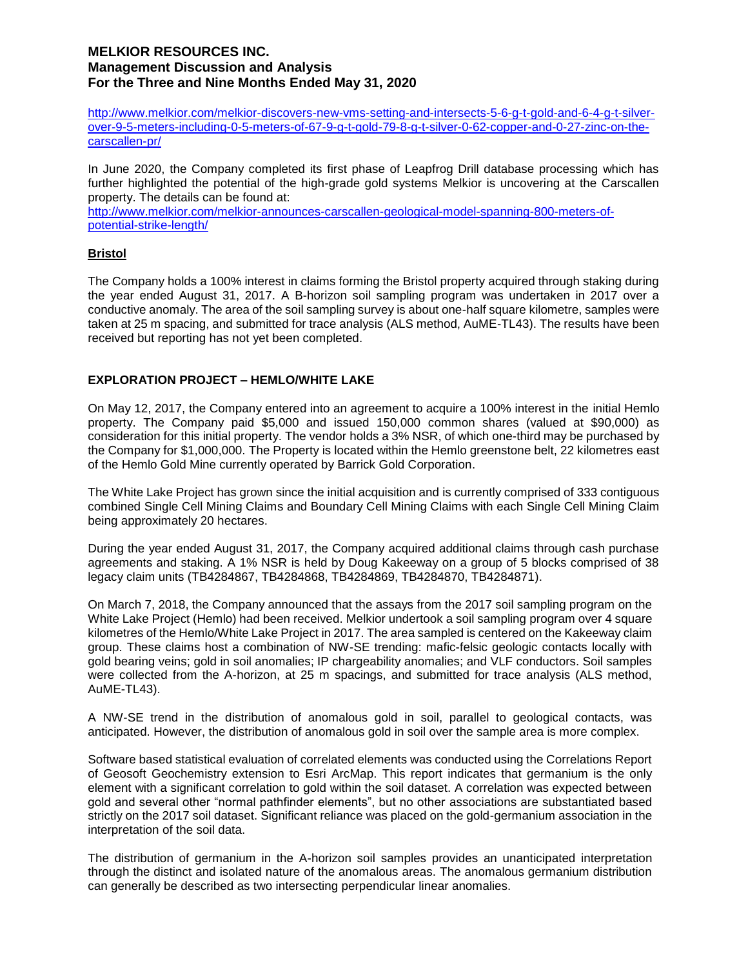http://www.melkior.com/melkior-discovers-new-vms-setting-and-intersects-5-6-g-t-gold-and-6-4-g-t-silverover-9-5-meters-including-0-5-meters-of-67-9-g-t-gold-79-8-g-t-silver-0-62-copper-and-0-27-zinc-on-thecarscallen-pr/

In June 2020, the Company completed its first phase of Leapfrog Drill database processing which has further highlighted the potential of the high-grade gold systems Melkior is uncovering at the Carscallen property. The details can be found at:

http://www.melkior.com/melkior-announces-carscallen-geological-model-spanning-800-meters-ofpotential-strike-length/

## **Bristol**

The Company holds a 100% interest in claims forming the Bristol property acquired through staking during the year ended August 31, 2017. A B-horizon soil sampling program was undertaken in 2017 over a conductive anomaly. The area of the soil sampling survey is about one-half square kilometre, samples were taken at 25 m spacing, and submitted for trace analysis (ALS method, AuME-TL43). The results have been received but reporting has not yet been completed.

# **EXPLORATION PROJECT – HEMLO/WHITE LAKE**

On May 12, 2017, the Company entered into an agreement to acquire a 100% interest in the initial Hemlo property. The Company paid \$5,000 and issued 150,000 common shares (valued at \$90,000) as consideration for this initial property. The vendor holds a 3% NSR, of which one-third may be purchased by the Company for \$1,000,000. The Property is located within the Hemlo greenstone belt, 22 kilometres east of the Hemlo Gold Mine currently operated by Barrick Gold Corporation.

The White Lake Project has grown since the initial acquisition and is currently comprised of 333 contiguous combined Single Cell Mining Claims and Boundary Cell Mining Claims with each Single Cell Mining Claim being approximately 20 hectares.

During the year ended August 31, 2017, the Company acquired additional claims through cash purchase agreements and staking. A 1% NSR is held by Doug Kakeeway on a group of 5 blocks comprised of 38 legacy claim units (TB4284867, TB4284868, TB4284869, TB4284870, TB4284871).

On March 7, 2018, the Company announced that the assays from the 2017 soil sampling program on the White Lake Project (Hemlo) had been received. Melkior undertook a soil sampling program over 4 square kilometres of the Hemlo/White Lake Project in 2017. The area sampled is centered on the Kakeeway claim group. These claims host a combination of NW-SE trending: mafic-felsic geologic contacts locally with gold bearing veins; gold in soil anomalies; IP chargeability anomalies; and VLF conductors. Soil samples were collected from the A-horizon, at 25 m spacings, and submitted for trace analysis (ALS method, AuME-TL43).

A NW-SE trend in the distribution of anomalous gold in soil, parallel to geological contacts, was anticipated. However, the distribution of anomalous gold in soil over the sample area is more complex.

Software based statistical evaluation of correlated elements was conducted using the Correlations Report of Geosoft Geochemistry extension to Esri ArcMap. This report indicates that germanium is the only element with a significant correlation to gold within the soil dataset. A correlation was expected between gold and several other "normal pathfinder elements", but no other associations are substantiated based strictly on the 2017 soil dataset. Significant reliance was placed on the gold-germanium association in the interpretation of the soil data.

The distribution of germanium in the A-horizon soil samples provides an unanticipated interpretation through the distinct and isolated nature of the anomalous areas. The anomalous germanium distribution can generally be described as two intersecting perpendicular linear anomalies.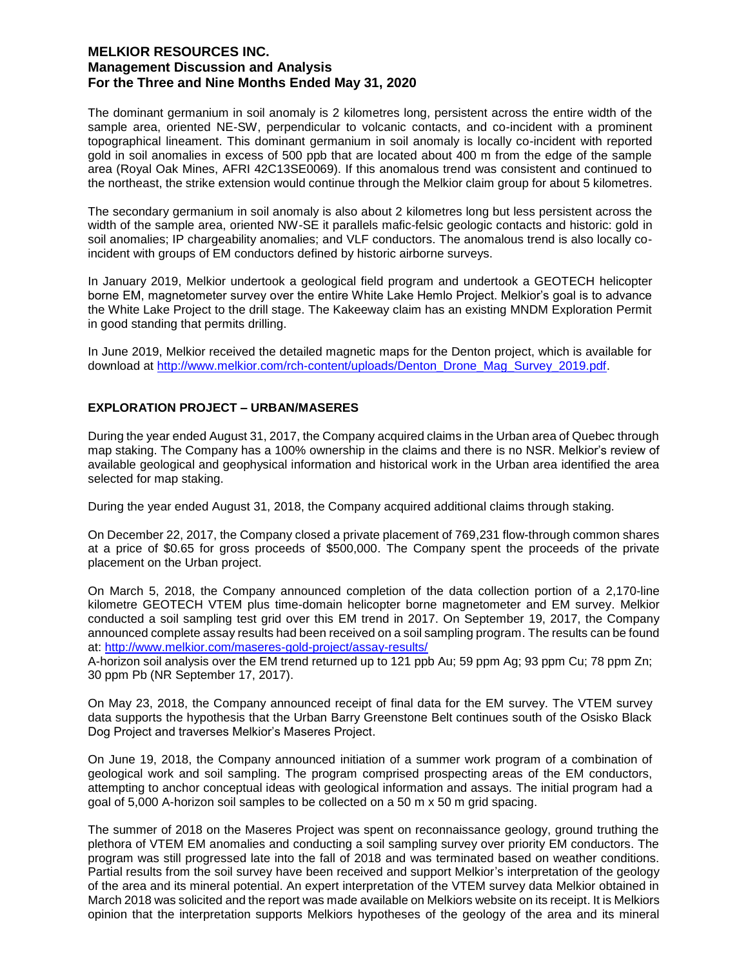The dominant germanium in soil anomaly is 2 kilometres long, persistent across the entire width of the sample area, oriented NE-SW, perpendicular to volcanic contacts, and co-incident with a prominent topographical lineament. This dominant germanium in soil anomaly is locally co-incident with reported gold in soil anomalies in excess of 500 ppb that are located about 400 m from the edge of the sample area (Royal Oak Mines, AFRI 42C13SE0069). If this anomalous trend was consistent and continued to the northeast, the strike extension would continue through the Melkior claim group for about 5 kilometres.

The secondary germanium in soil anomaly is also about 2 kilometres long but less persistent across the width of the sample area, oriented NW-SE it parallels mafic-felsic geologic contacts and historic: gold in soil anomalies; IP chargeability anomalies; and VLF conductors. The anomalous trend is also locally coincident with groups of EM conductors defined by historic airborne surveys.

In January 2019, Melkior undertook a geological field program and undertook a GEOTECH helicopter borne EM, magnetometer survey over the entire White Lake Hemlo Project. Melkior's goal is to advance the White Lake Project to the drill stage. The Kakeeway claim has an existing MNDM Exploration Permit in good standing that permits drilling.

In June 2019, Melkior received the detailed magnetic maps for the Denton project, which is available for download at http://www.melkior.com/rch-content/uploads/Denton\_Drone\_Mag\_Survey\_2019.pdf.

### **EXPLORATION PROJECT – URBAN/MASERES**

During the year ended August 31, 2017, the Company acquired claims in the Urban area of Quebec through map staking. The Company has a 100% ownership in the claims and there is no NSR. Melkior's review of available geological and geophysical information and historical work in the Urban area identified the area selected for map staking.

During the year ended August 31, 2018, the Company acquired additional claims through staking.

On December 22, 2017, the Company closed a private placement of 769,231 flow-through common shares at a price of \$0.65 for gross proceeds of \$500,000. The Company spent the proceeds of the private placement on the Urban project.

On March 5, 2018, the Company announced completion of the data collection portion of a 2,170-line kilometre GEOTECH VTEM plus time-domain helicopter borne magnetometer and EM survey. Melkior conducted a soil sampling test grid over this EM trend in 2017. On September 19, 2017, the Company announced complete assay results had been received on a soil sampling program. The results can be found at: http://www.melkior.com/maseres-gold-project/assay-results/

A-horizon soil analysis over the EM trend returned up to 121 ppb Au; 59 ppm Ag; 93 ppm Cu; 78 ppm Zn; 30 ppm Pb (NR September 17, 2017).

On May 23, 2018, the Company announced receipt of final data for the EM survey. The VTEM survey data supports the hypothesis that the Urban Barry Greenstone Belt continues south of the Osisko Black Dog Project and traverses Melkior's Maseres Project.

On June 19, 2018, the Company announced initiation of a summer work program of a combination of geological work and soil sampling. The program comprised prospecting areas of the EM conductors, attempting to anchor conceptual ideas with geological information and assays. The initial program had a goal of 5,000 A-horizon soil samples to be collected on a 50 m x 50 m grid spacing.

The summer of 2018 on the Maseres Project was spent on reconnaissance geology, ground truthing the plethora of VTEM EM anomalies and conducting a soil sampling survey over priority EM conductors. The program was still progressed late into the fall of 2018 and was terminated based on weather conditions. Partial results from the soil survey have been received and support Melkior's interpretation of the geology of the area and its mineral potential. An expert interpretation of the VTEM survey data Melkior obtained in March 2018 was solicited and the report was made available on Melkiors website on its receipt. It is Melkiors opinion that the interpretation supports Melkiors hypotheses of the geology of the area and its mineral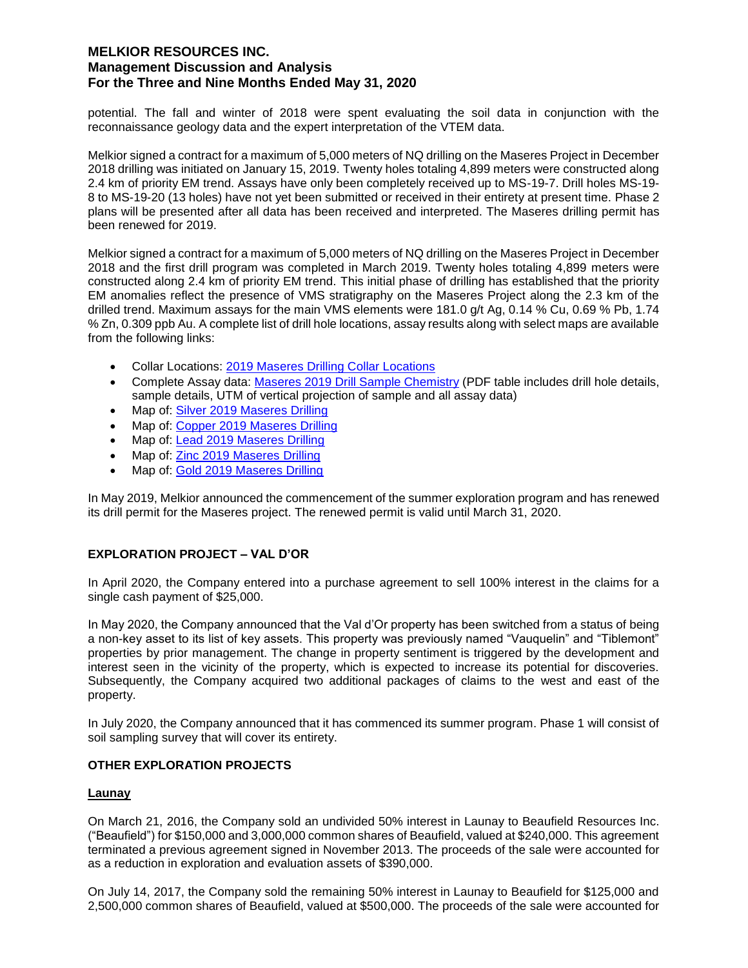potential. The fall and winter of 2018 were spent evaluating the soil data in conjunction with the reconnaissance geology data and the expert interpretation of the VTEM data.

Melkior signed a contract for a maximum of 5,000 meters of NQ drilling on the Maseres Project in December 2018 drilling was initiated on January 15, 2019. Twenty holes totaling 4,899 meters were constructed along 2.4 km of priority EM trend. Assays have only been completely received up to MS-19-7. Drill holes MS-19- 8 to MS-19-20 (13 holes) have not yet been submitted or received in their entirety at present time. Phase 2 plans will be presented after all data has been received and interpreted. The Maseres drilling permit has been renewed for 2019.

Melkior signed a contract for a maximum of 5,000 meters of NQ drilling on the Maseres Project in December 2018 and the first drill program was completed in March 2019. Twenty holes totaling 4,899 meters were constructed along 2.4 km of priority EM trend. This initial phase of drilling has established that the priority EM anomalies reflect the presence of VMS stratigraphy on the Maseres Project along the 2.3 km of the drilled trend. Maximum assays for the main VMS elements were 181.0 g/t Ag, 0.14 % Cu, 0.69 % Pb, 1.74 % Zn, 0.309 ppb Au. A complete list of drill hole locations, assay results along with select maps are available from the following links:

- Collar Locations: 2019 Maseres Drilling Collar Locations
- Complete Assay data: Maseres 2019 Drill Sample Chemistry (PDF table includes drill hole details, sample details, UTM of vertical projection of sample and all assay data)
- Map of: Silver 2019 Maseres Drilling
- Map of: Copper 2019 Maseres Drilling
- Map of: Lead 2019 Maseres Drilling
- Map of: Zinc 2019 Maseres Drilling
- Map of: Gold 2019 Maseres Drilling

In May 2019, Melkior announced the commencement of the summer exploration program and has renewed its drill permit for the Maseres project. The renewed permit is valid until March 31, 2020.

# **EXPLORATION PROJECT – VAL D'OR**

In April 2020, the Company entered into a purchase agreement to sell 100% interest in the claims for a single cash payment of \$25,000.

In May 2020, the Company announced that the Val d'Or property has been switched from a status of being a non-key asset to its list of key assets. This property was previously named "Vauquelin" and "Tiblemont" properties by prior management. The change in property sentiment is triggered by the development and interest seen in the vicinity of the property, which is expected to increase its potential for discoveries. Subsequently, the Company acquired two additional packages of claims to the west and east of the property.

In July 2020, the Company announced that it has commenced its summer program. Phase 1 will consist of soil sampling survey that will cover its entirety.

### **OTHER EXPLORATION PROJECTS**

### **Launay**

On March 21, 2016, the Company sold an undivided 50% interest in Launay to Beaufield Resources Inc. ("Beaufield") for \$150,000 and 3,000,000 common shares of Beaufield, valued at \$240,000. This agreement terminated a previous agreement signed in November 2013. The proceeds of the sale were accounted for as a reduction in exploration and evaluation assets of \$390,000.

On July 14, 2017, the Company sold the remaining 50% interest in Launay to Beaufield for \$125,000 and 2,500,000 common shares of Beaufield, valued at \$500,000. The proceeds of the sale were accounted for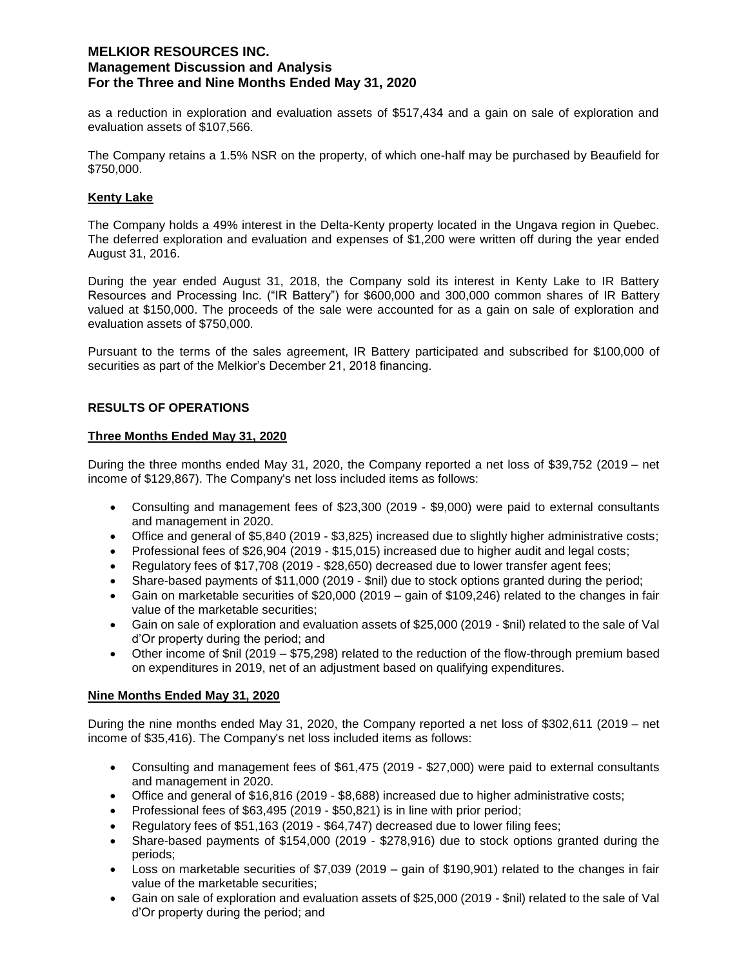as a reduction in exploration and evaluation assets of \$517,434 and a gain on sale of exploration and evaluation assets of \$107,566.

The Company retains a 1.5% NSR on the property, of which one-half may be purchased by Beaufield for \$750,000.

## **Kenty Lake**

The Company holds a 49% interest in the Delta-Kenty property located in the Ungava region in Quebec. The deferred exploration and evaluation and expenses of \$1,200 were written off during the year ended August 31, 2016.

During the year ended August 31, 2018, the Company sold its interest in Kenty Lake to IR Battery Resources and Processing Inc. ("IR Battery") for \$600,000 and 300,000 common shares of IR Battery valued at \$150,000. The proceeds of the sale were accounted for as a gain on sale of exploration and evaluation assets of \$750,000.

Pursuant to the terms of the sales agreement, IR Battery participated and subscribed for \$100,000 of securities as part of the Melkior's December 21, 2018 financing.

## **RESULTS OF OPERATIONS**

### **Three Months Ended May 31, 2020**

During the three months ended May 31, 2020, the Company reported a net loss of \$39,752 (2019 – net income of \$129,867). The Company's net loss included items as follows:

- Consulting and management fees of \$23,300 (2019 \$9,000) were paid to external consultants and management in 2020.
- Office and general of \$5,840 (2019 \$3,825) increased due to slightly higher administrative costs;
- Professional fees of \$26,904 (2019 \$15,015) increased due to higher audit and legal costs;
- Regulatory fees of \$17,708 (2019 \$28,650) decreased due to lower transfer agent fees;
- Share-based payments of \$11,000 (2019 \$nil) due to stock options granted during the period;
- Gain on marketable securities of \$20,000 (2019 gain of \$109,246) related to the changes in fair value of the marketable securities;
- Gain on sale of exploration and evaluation assets of \$25,000 (2019 \$nil) related to the sale of Val d'Or property during the period; and
- Other income of \$nil (2019 \$75,298) related to the reduction of the flow-through premium based on expenditures in 2019, net of an adjustment based on qualifying expenditures.

### **Nine Months Ended May 31, 2020**

During the nine months ended May 31, 2020, the Company reported a net loss of \$302,611 (2019 – net income of \$35,416). The Company's net loss included items as follows:

- Consulting and management fees of \$61,475 (2019 \$27,000) were paid to external consultants and management in 2020.
- Office and general of \$16,816 (2019 \$8,688) increased due to higher administrative costs;
- Professional fees of \$63,495 (2019 \$50,821) is in line with prior period;
- Regulatory fees of \$51,163 (2019 \$64,747) decreased due to lower filing fees;
- Share-based payments of \$154,000 (2019 \$278,916) due to stock options granted during the periods;
- Loss on marketable securities of \$7,039 (2019 gain of \$190,901) related to the changes in fair value of the marketable securities;
- Gain on sale of exploration and evaluation assets of \$25,000 (2019 \$nil) related to the sale of Val d'Or property during the period; and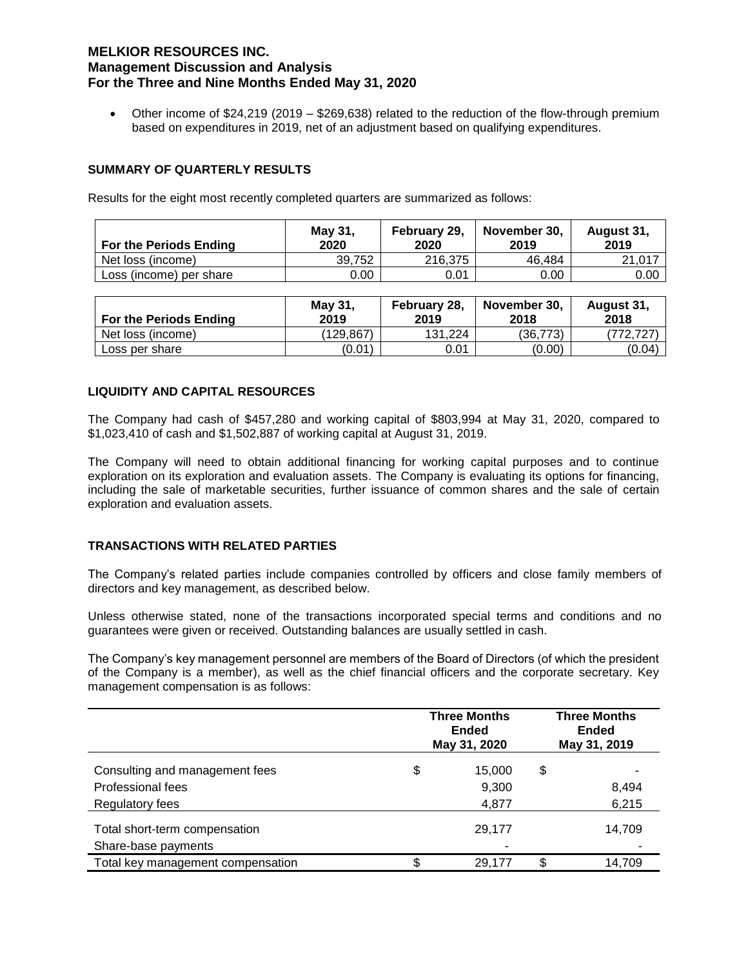Other income of \$24,219 (2019 – \$269,638) related to the reduction of the flow-through premium based on expenditures in 2019, net of an adjustment based on qualifying expenditures.

### **SUMMARY OF QUARTERLY RESULTS**

Results for the eight most recently completed quarters are summarized as follows:

| <b>For the Periods Ending</b> | May 31,<br>2020 | February 29,<br>2020 | November 30.<br>2019 | August 31,<br>2019 |
|-------------------------------|-----------------|----------------------|----------------------|--------------------|
| Net loss (income)             | 39.752          | 216.375              | 46.484               | 21.017             |
| Loss (income) per share       | 0.00            | 0.01                 | 0.00                 | 0.00               |

| For the Periods Ending | May 31,<br>2019 | February 28,<br>2019 | November 30.<br>2018 | August 31,<br>2018 |
|------------------------|-----------------|----------------------|----------------------|--------------------|
| Net loss (income)      | (129.867)       | 131.224              | (36.773)             | (772.727)          |
| Loss per share         | (0.01)          | 0.01                 | (0.00)               | (0.04)             |

## **LIQUIDITY AND CAPITAL RESOURCES**

The Company had cash of \$457,280 and working capital of \$803,994 at May 31, 2020, compared to \$1,023,410 of cash and \$1,502,887 of working capital at August 31, 2019.

The Company will need to obtain additional financing for working capital purposes and to continue exploration on its exploration and evaluation assets. The Company is evaluating its options for financing, including the sale of marketable securities, further issuance of common shares and the sale of certain exploration and evaluation assets.

### **TRANSACTIONS WITH RELATED PARTIES**

The Company's related parties include companies controlled by officers and close family members of directors and key management, as described below.

Unless otherwise stated, none of the transactions incorporated special terms and conditions and no guarantees were given or received. Outstanding balances are usually settled in cash.

The Company's key management personnel are members of the Board of Directors (of which the president of the Company is a member), as well as the chief financial officers and the corporate secretary. Key management compensation is as follows:

|                                   | <b>Three Months</b><br><b>Ended</b><br>May 31, 2020 |        |    | <b>Three Months</b><br><b>Ended</b><br>May 31, 2019 |  |
|-----------------------------------|-----------------------------------------------------|--------|----|-----------------------------------------------------|--|
| Consulting and management fees    | \$                                                  | 15,000 | \$ |                                                     |  |
| Professional fees                 |                                                     | 9,300  |    | 8,494                                               |  |
| <b>Regulatory fees</b>            |                                                     | 4,877  |    | 6,215                                               |  |
| Total short-term compensation     |                                                     | 29,177 |    | 14,709                                              |  |
| Share-base payments               |                                                     |        |    |                                                     |  |
| Total key management compensation | \$                                                  | 29.177 | \$ | 14,709                                              |  |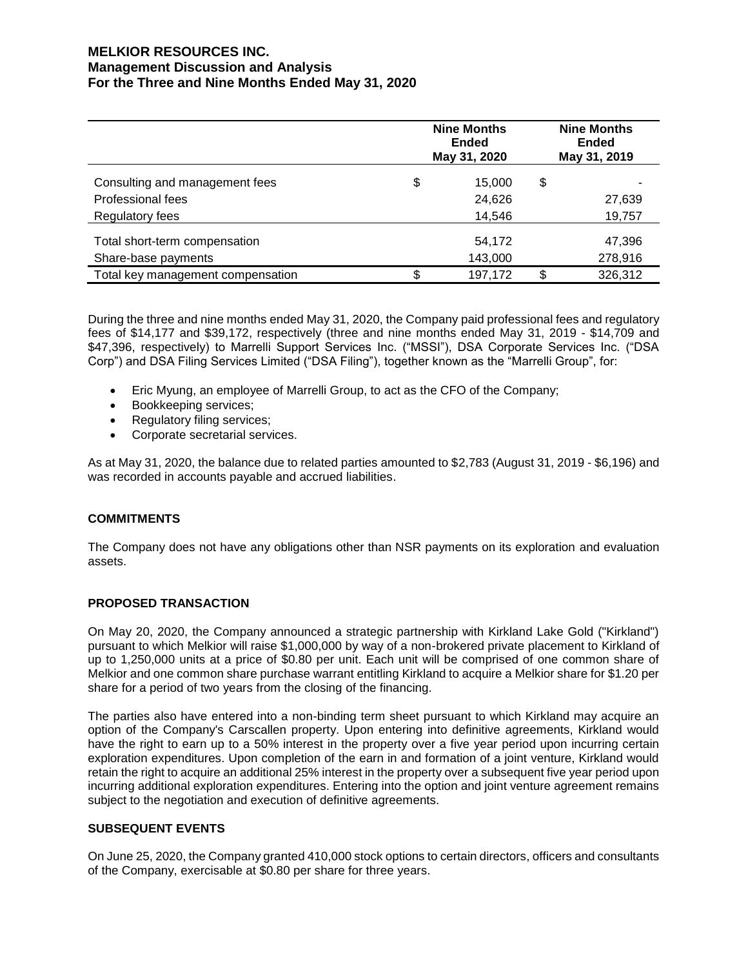| <b>Nine Months</b><br><b>Ended</b><br>May 31, 2020 |        |                    | <b>Nine Months</b><br>Ended<br>May 31, 2019 |  |
|----------------------------------------------------|--------|--------------------|---------------------------------------------|--|
| \$                                                 | 15.000 | \$                 |                                             |  |
|                                                    | 24,626 |                    | 27,639                                      |  |
|                                                    | 14,546 |                    | 19,757                                      |  |
|                                                    | 54,172 |                    | 47,396<br>278,916                           |  |
|                                                    |        |                    | 326,312                                     |  |
|                                                    | S      | 143,000<br>197,172 | S.                                          |  |

During the three and nine months ended May 31, 2020, the Company paid professional fees and regulatory fees of \$14,177 and \$39,172, respectively (three and nine months ended May 31, 2019 - \$14,709 and \$47,396, respectively) to Marrelli Support Services Inc. ("MSSI"), DSA Corporate Services Inc. ("DSA Corp") and DSA Filing Services Limited ("DSA Filing"), together known as the "Marrelli Group", for:

- Eric Myung, an employee of Marrelli Group, to act as the CFO of the Company;
- Bookkeeping services;
- Regulatory filing services;
- Corporate secretarial services.

As at May 31, 2020, the balance due to related parties amounted to \$2,783 (August 31, 2019 - \$6,196) and was recorded in accounts payable and accrued liabilities.

### **COMMITMENTS**

The Company does not have any obligations other than NSR payments on its exploration and evaluation assets.

### **PROPOSED TRANSACTION**

On May 20, 2020, the Company announced a strategic partnership with Kirkland Lake Gold ("Kirkland") pursuant to which Melkior will raise \$1,000,000 by way of a non-brokered private placement to Kirkland of up to 1,250,000 units at a price of \$0.80 per unit. Each unit will be comprised of one common share of Melkior and one common share purchase warrant entitling Kirkland to acquire a Melkior share for \$1.20 per share for a period of two years from the closing of the financing.

The parties also have entered into a non-binding term sheet pursuant to which Kirkland may acquire an option of the Company's Carscallen property. Upon entering into definitive agreements, Kirkland would have the right to earn up to a 50% interest in the property over a five year period upon incurring certain exploration expenditures. Upon completion of the earn in and formation of a joint venture, Kirkland would retain the right to acquire an additional 25% interest in the property over a subsequent five year period upon incurring additional exploration expenditures. Entering into the option and joint venture agreement remains subject to the negotiation and execution of definitive agreements.

### **SUBSEQUENT EVENTS**

On June 25, 2020, the Company granted 410,000 stock options to certain directors, officers and consultants of the Company, exercisable at \$0.80 per share for three years.